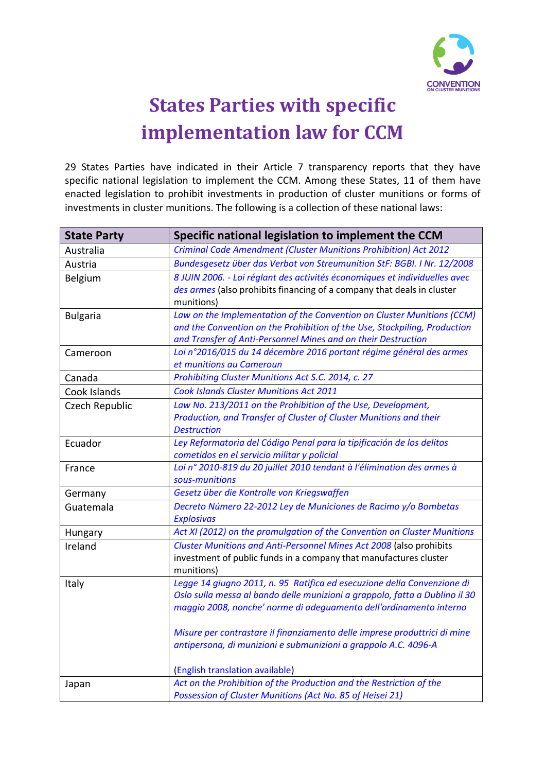

## **States Parties with specific implementation law for CCM**

29 States Parties have indicated in their Article 7 transparency reports that they have specific national legislation to implement the CCM. Among these States, 11 of them have enacted legislation to prohibit investments in production of cluster munitions or forms of investments in cluster munitions. The following is a collection of these national laws:

| <b>State Party</b> | Specific national legislation to implement the CCM                                                                                                                                                                                                                                                                                                                           |
|--------------------|------------------------------------------------------------------------------------------------------------------------------------------------------------------------------------------------------------------------------------------------------------------------------------------------------------------------------------------------------------------------------|
| Australia          | Criminal Code Amendment (Cluster Munitions Prohibition) Act 2012                                                                                                                                                                                                                                                                                                             |
| Austria            | Bundesgesetz über das Verbot von Streumunition StF: BGBI. I Nr. 12/2008                                                                                                                                                                                                                                                                                                      |
| Belgium            | 8 JUIN 2006. - Loi réglant des activités économiques et individuelles avec<br>des armes (also prohibits financing of a company that deals in cluster<br>munitions)                                                                                                                                                                                                           |
| <b>Bulgaria</b>    | Law on the Implementation of the Convention on Cluster Munitions (CCM)<br>and the Convention on the Prohibition of the Use, Stockpiling, Production<br>and Transfer of Anti-Personnel Mines and on their Destruction                                                                                                                                                         |
| Cameroon           | Loi n°2016/015 du 14 décembre 2016 portant régime général des armes<br>et munitions au Cameroun                                                                                                                                                                                                                                                                              |
| Canada             | Prohibiting Cluster Munitions Act S.C. 2014, c. 27                                                                                                                                                                                                                                                                                                                           |
| Cook Islands       | <b>Cook Islands Cluster Munitions Act 2011</b>                                                                                                                                                                                                                                                                                                                               |
| Czech Republic     | Law No. 213/2011 on the Prohibition of the Use, Development,<br>Production, and Transfer of Cluster of Cluster Munitions and their<br><b>Destruction</b>                                                                                                                                                                                                                     |
| Ecuador            | Ley Reformatoria del Código Penal para la tipificación de los delitos<br>cometidos en el servicio militar y policial                                                                                                                                                                                                                                                         |
| France             | Loi nº 2010-819 du 20 juillet 2010 tendant à l'élimination des armes à<br>sous-munitions                                                                                                                                                                                                                                                                                     |
| Germany            | Gesetz über die Kontrolle von Kriegswaffen                                                                                                                                                                                                                                                                                                                                   |
| Guatemala          | Decreto Número 22-2012 Ley de Municiones de Racimo y/o Bombetas<br><b>Explosivas</b>                                                                                                                                                                                                                                                                                         |
| Hungary            | Act XI (2012) on the promulgation of the Convention on Cluster Munitions                                                                                                                                                                                                                                                                                                     |
| Ireland            | Cluster Munitions and Anti-Personnel Mines Act 2008 (also prohibits<br>investment of public funds in a company that manufactures cluster<br>munitions)                                                                                                                                                                                                                       |
| Italy              | Legge 14 giugno 2011, n. 95 Ratifica ed esecuzione della Convenzione di<br>Oslo sulla messa al bando delle munizioni a grappolo, fatta a Dublino il 30<br>maggio 2008, nonche' norme di adeguamento dell'ordinamento interno<br>Misure per contrastare il finanziamento delle imprese produttrici di mine<br>antipersona, di munizioni e submunizioni a grappolo A.C. 4096-A |
|                    | (English translation available)                                                                                                                                                                                                                                                                                                                                              |
| Japan              | Act on the Prohibition of the Production and the Restriction of the<br>Possession of Cluster Munitions (Act No. 85 of Heisei 21)                                                                                                                                                                                                                                             |